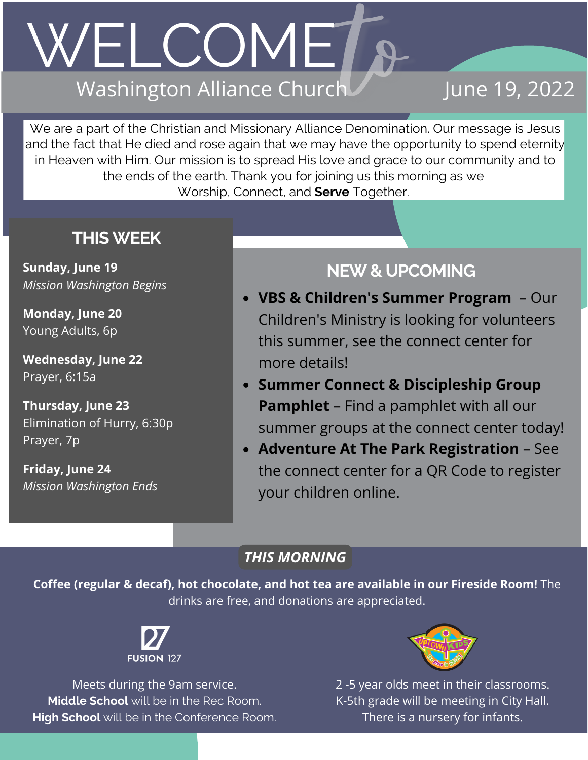## WELCOME7 Washington Alliance Church

## June 19, 2022

We are a part of the Christian and Missionary Alliance Denomination. Our message is Jesus and the fact that He died and rose again that we may have the opportunity to spend eternity in Heaven with Him. Our mission is to spread His love and grace to our community and to the ends of the earth. Thank you for joining us this morning as we Worship, Connect, and **Serve** Together.

### **THISWEEK**

**Sunday, June 19** *Mission Washington Begins*

**Monday, June 20** Young Adults, 6p

**Wednesday, June 22** Prayer, 6:15a

**Thursday, June 23** Elimination of Hurry, 6:30p Prayer, 7p

**Friday, June 24** *Mission Washington Ends*

## **NEW& UPCOMING**

- **VBS & Children's Summer Program** Our Children's Ministry is looking for volunteers this summer, see the connect center for more details!
- **Summer Connect & Discipleship Group Pamphlet** – Find a pamphlet with all our summer groups at the connect center today!
- **Adventure At The Park Registration** See the connect center for a QR Code to register your children online.

### *THIS MORNING*

**Coffee (regular & decaf), hot chocolate, and hot tea are available in our Fireside Room!** The drinks are free, and donations are appreciated.



Meets during the 9am service. **Middle School** will be in the Rec Room. **High School** will be in the Conference Room.



2 -5 year olds meet in their classrooms. K-5th grade will be meeting in City Hall. There is a nursery for infants.